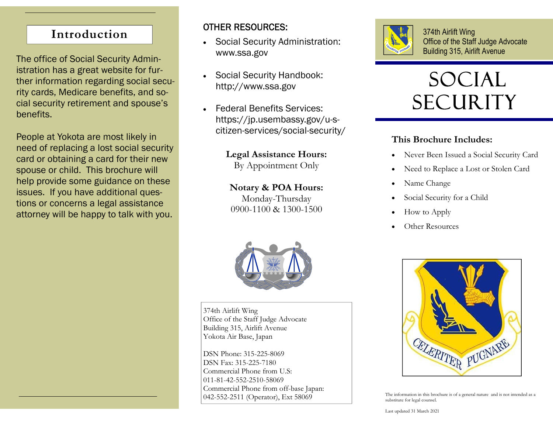# **Introduction**

The office of Social Security Administration has a great website for further information regarding social security cards, Medicare benefits, and social security retirement and spouse's benefits.

People at Yokota are most likely in need of replacing a lost social security card or obtaining a card for their new spouse or child. This brochure will help provide some guidance on these issues. If you have additional questions or concerns a legal assistance attorney will be happy to talk with you.

## OTHER RESOURCES:

- $\bullet$  Social Security Administration: www.ssa.gov
- $\bullet$  Social Security Handbook: http://www.ssa.gov
- $\bullet$  Federal Benefits Services: https://jp.usembassy.gov/u-scitizen-services/social-security/

# **Legal Assistance Hours:**

By Appointment Only

# **Notary & POA Hours:**

Monday-Thursday 0900-1100 & 1300-1500



374th Airlift Wing Office of the Staff Judge Advocate Building 315, Airlift Avenue Yokota Air Base, Japan

DSN Phone: 315-225-8069 DSN Fax: 315-225-7180 Commercial Phone from U.S: 011-81-42-552-2510-58069 Commercial Phone from off-base Japan: 042-552-2511 (Operator), Ext 58069



374th Airlift Wing Office of the Staff Judge Advocate Building 315, Airlift Avenue

# Social **SECURITY**

### **This Brochure Includes:**

- $\bullet$ Never Been Issued a Social Security Card
- $\bullet$ Need to Replace a Lost or Stolen Card
- $\bullet$ Name Change
- $\bullet$ Social Security for a Child
- $\bullet$ How to Apply
- $\bullet$ Other Resources



The information in this brochure is of a general nature and is not intended as a substitute for legal counsel.